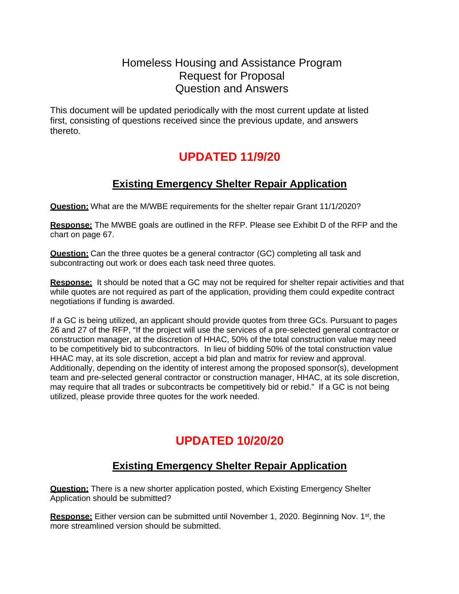# Homeless Housing and Assistance Program Request for Proposal Question and Answers

This document will be updated periodically with the most current update at listed first, consisting of questions received since the previous update, and answers thereto.

# **UPDATED 11/9/20**

# **Existing Emergency Shelter Repair Application**

**Question:** What are the M/WBE requirements for the shelter repair Grant 11/1/2020?

**Response:** The MWBE goals are outlined in the RFP. Please see Exhibit D of the RFP and the chart on page 67.

**Question:** Can the three quotes be a general contractor (GC) completing all task and subcontracting out work or does each task need three quotes.

**Response:** It should be noted that a GC may not be required for shelter repair activities and that while quotes are not required as part of the application, providing them could expedite contract negotiations if funding is awarded.

If a GC is being utilized, an applicant should provide quotes from three GCs. Pursuant to pages 26 and 27 of the RFP, "If the project will use the services of a pre-selected general contractor or construction manager, at the discretion of HHAC, 50% of the total construction value may need to be competitively bid to subcontractors. In lieu of bidding 50% of the total construction value HHAC may, at its sole discretion, accept a bid plan and matrix for review and approval. Additionally, depending on the identity of interest among the proposed sponsor(s), development team and pre-selected general contractor or construction manager, HHAC, at its sole discretion, may require that all trades or subcontracts be competitively bid or rebid." If a GC is not being utilized, please provide three quotes for the work needed.

# **UPDATED 10/20/20**

# **Existing Emergency Shelter Repair Application**

**Question:** There is a new shorter application posted, which Existing Emergency Shelter Application should be submitted?

**Response:** Either version can be submitted until November 1, 2020. Beginning Nov. 1<sup>st</sup>, the more streamlined version should be submitted.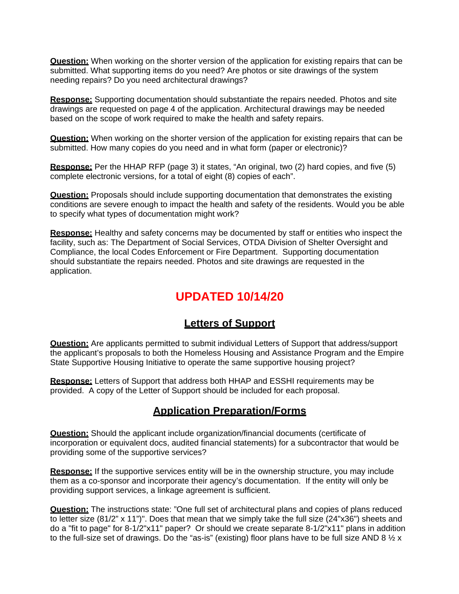**Question:** When working on the shorter version of the application for existing repairs that can be submitted. What supporting items do you need? Are photos or site drawings of the system needing repairs? Do you need architectural drawings?

**Response:** Supporting documentation should substantiate the repairs needed. Photos and site drawings are requested on page 4 of the application. Architectural drawings may be needed based on the scope of work required to make the health and safety repairs.

**Question:** When working on the shorter version of the application for existing repairs that can be submitted. How many copies do you need and in what form (paper or electronic)?

**Response:** Per the HHAP RFP (page 3) it states, "An original, two (2) hard copies, and five (5) complete electronic versions, for a total of eight (8) copies of each".

**Question:** Proposals should include supporting documentation that demonstrates the existing conditions are severe enough to impact the health and safety of the residents. Would you be able to specify what types of documentation might work?

**Response:** Healthy and safety concerns may be documented by staff or entities who inspect the facility, such as: The Department of Social Services, OTDA Division of Shelter Oversight and Compliance, the local Codes Enforcement or Fire Department. Supporting documentation should substantiate the repairs needed. Photos and site drawings are requested in the application.

# **UPDATED 10/14/20**

### **Letters of Support**

**Question:** Are applicants permitted to submit individual Letters of Support that address/support the applicant's proposals to both the Homeless Housing and Assistance Program and the Empire State Supportive Housing Initiative to operate the same supportive housing project?

**Response:** Letters of Support that address both HHAP and ESSHI requirements may be provided. A copy of the Letter of Support should be included for each proposal.

#### **Application Preparation/Forms**

**Question:** Should the applicant include organization/financial documents (certificate of incorporation or equivalent docs, audited financial statements) for a subcontractor that would be providing some of the supportive services?

**Response:** If the supportive services entity will be in the ownership structure, you may include them as a co-sponsor and incorporate their agency's documentation. If the entity will only be providing support services, a linkage agreement is sufficient.

**Question:** The instructions state: "One full set of architectural plans and copies of plans reduced to letter size (81/2" x 11")". Does that mean that we simply take the full size (24"x36") sheets and do a "fit to page" for 8-1/2"x11" paper? Or should we create separate 8-1/2"x11" plans in addition to the full-size set of drawings. Do the "as-is" (existing) floor plans have to be full size AND 8  $\frac{1}{2}$  x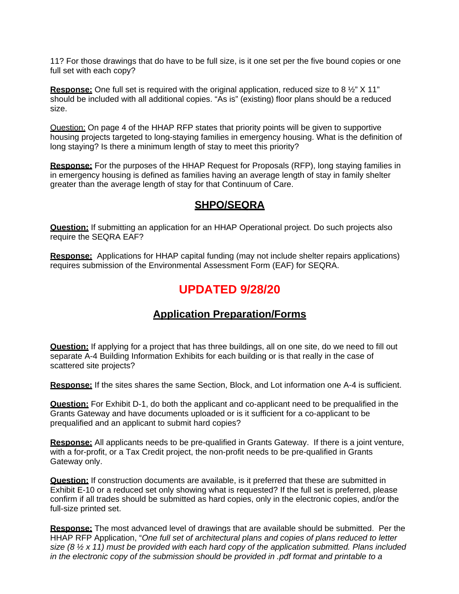11? For those drawings that do have to be full size, is it one set per the five bound copies or one full set with each copy?

**Response:** One full set is required with the original application, reduced size to 8  $\frac{1}{2}$ " X 11" should be included with all additional copies. "As is" (existing) floor plans should be a reduced size.

Question: On page 4 of the HHAP RFP states that priority points will be given to supportive housing projects targeted to long-staying families in emergency housing. What is the definition of long staying? Is there a minimum length of stay to meet this priority?

**Response:** For the purposes of the HHAP Request for Proposals (RFP), long staying families in in emergency housing is defined as families having an average length of stay in family shelter greater than the average length of stay for that Continuum of Care.

#### **SHPO/SEQRA**

**Question:** If submitting an application for an HHAP Operational project. Do such projects also require the SEQRA EAF?

**Response:** Applications for HHAP capital funding (may not include shelter repairs applications) requires submission of the Environmental Assessment Form (EAF) for SEQRA.

### **UPDATED 9/28/20**

### **Application Preparation/Forms**

**Question:** If applying for a project that has three buildings, all on one site, do we need to fill out separate A-4 Building Information Exhibits for each building or is that really in the case of scattered site projects?

**Response:** If the sites shares the same Section, Block, and Lot information one A-4 is sufficient.

**Question:** For Exhibit D-1, do both the applicant and co-applicant need to be prequalified in the Grants Gateway and have documents uploaded or is it sufficient for a co-applicant to be prequalified and an applicant to submit hard copies?

**Response:** All applicants needs to be pre-qualified in Grants Gateway. If there is a joint venture, with a for-profit, or a Tax Credit project, the non-profit needs to be pre-qualified in Grants Gateway only.

**Question:** If construction documents are available, is it preferred that these are submitted in Exhibit E-10 or a reduced set only showing what is requested? If the full set is preferred, please confirm if all trades should be submitted as hard copies, only in the electronic copies, and/or the full-size printed set.

**Response:** The most advanced level of drawings that are available should be submitted. Per the HHAP RFP Application, "*One full set of architectural plans and copies of plans reduced to letter size (8 ½ x 11) must be provided with each hard copy of the application submitted. Plans included in the electronic copy of the submission should be provided in .pdf format and printable to a*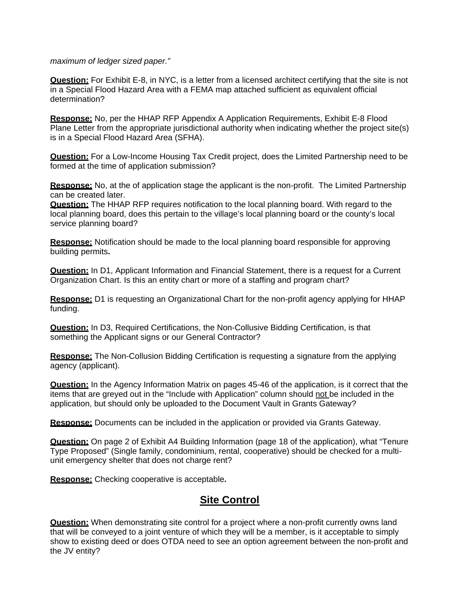#### *maximum of ledger sized paper."*

**Question:** For Exhibit E-8, in NYC, is a letter from a licensed architect certifying that the site is not in a Special Flood Hazard Area with a FEMA map attached sufficient as equivalent official determination?

**Response:** No, per the HHAP RFP Appendix A Application Requirements, Exhibit E-8 Flood Plane Letter from the appropriate jurisdictional authority when indicating whether the project site(s) is in a Special Flood Hazard Area (SFHA).

**Question:** For a Low-Income Housing Tax Credit project, does the Limited Partnership need to be formed at the time of application submission?

**Response:** No, at the of application stage the applicant is the non-profit. The Limited Partnership can be created later.

**Question:** The HHAP RFP requires notification to the local planning board. With regard to the local planning board, does this pertain to the village's local planning board or the county's local service planning board?

**Response:** Notification should be made to the local planning board responsible for approving building permits**.** 

**Question:** In D1, Applicant Information and Financial Statement, there is a request for a Current Organization Chart. Is this an entity chart or more of a staffing and program chart?

**Response:** D1 is requesting an Organizational Chart for the non-profit agency applying for HHAP funding.

**Question:** In D3, Required Certifications, the Non-Collusive Bidding Certification, is that something the Applicant signs or our General Contractor?

**Response:** The Non-Collusion Bidding Certification is requesting a signature from the applying agency (applicant).

**Question:** In the Agency Information Matrix on pages 45-46 of the application, is it correct that the items that are greyed out in the "Include with Application" column should not be included in the application, but should only be uploaded to the Document Vault in Grants Gateway?

**Response:** Documents can be included in the application or provided via Grants Gateway.

**Question:** On page 2 of Exhibit A4 Building Information (page 18 of the application), what "Tenure Type Proposed" (Single family, condominium, rental, cooperative) should be checked for a multiunit emergency shelter that does not charge rent?

**Response:** Checking cooperative is acceptable**.** 

### **Site Control**

**Question:** When demonstrating site control for a project where a non-profit currently owns land that will be conveyed to a joint venture of which they will be a member, is it acceptable to simply show to existing deed or does OTDA need to see an option agreement between the non-profit and the JV entity?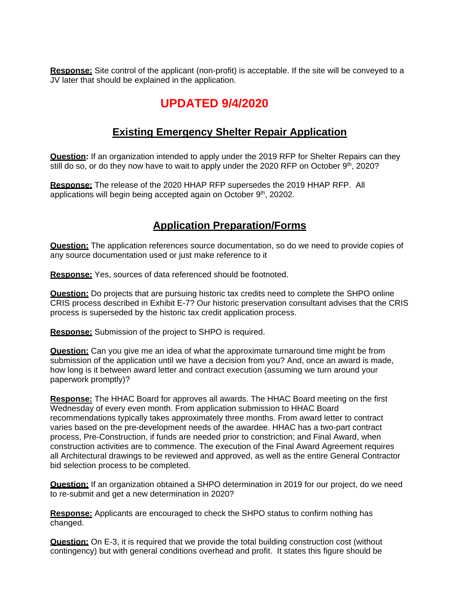**Response:** Site control of the applicant (non-profit) is acceptable. If the site will be conveyed to a JV later that should be explained in the application.

# **UPDATED 9/4/2020**

### **Existing Emergency Shelter Repair Application**

**Question:** If an organization intended to apply under the 2019 RFP for Shelter Repairs can they still do so, or do they now have to wait to apply under the 2020 RFP on October 9<sup>th</sup>, 2020?

**Response:** The release of the 2020 HHAP RFP supersedes the 2019 HHAP RFP. All applications will begin being accepted again on October 9<sup>th</sup>, 20202.

### **Application Preparation/Forms**

**Question:** The application references source documentation, so do we need to provide copies of any source documentation used or just make reference to it

**Response:** Yes, sources of data referenced should be footnoted.

**Question:** Do projects that are pursuing historic tax credits need to complete the SHPO online CRIS process described in Exhibit E-7? Our historic preservation consultant advises that the CRIS process is superseded by the historic tax credit application process.

**Response:** Submission of the project to SHPO is required.

**Question:** Can you give me an idea of what the approximate turnaround time might be from submission of the application until we have a decision from you? And, once an award is made, how long is it between award letter and contract execution (assuming we turn around your paperwork promptly)?

**Response:** The HHAC Board for approves all awards. The HHAC Board meeting on the first Wednesday of every even month. From application submission to HHAC Board recommendations typically takes approximately three months. From award letter to contract varies based on the pre-development needs of the awardee. HHAC has a two-part contract process, Pre-Construction, if funds are needed prior to constriction; and Final Award, when construction activities are to commence. The execution of the Final Award Agreement requires all Architectural drawings to be reviewed and approved, as well as the entire General Contractor bid selection process to be completed.

**Question:** If an organization obtained a SHPO determination in 2019 for our project, do we need to re-submit and get a new determination in 2020?

**Response:** Applicants are encouraged to check the SHPO status to confirm nothing has changed.

**Question:** On E-3, it is required that we provide the total building construction cost (without contingency) but with general conditions overhead and profit. It states this figure should be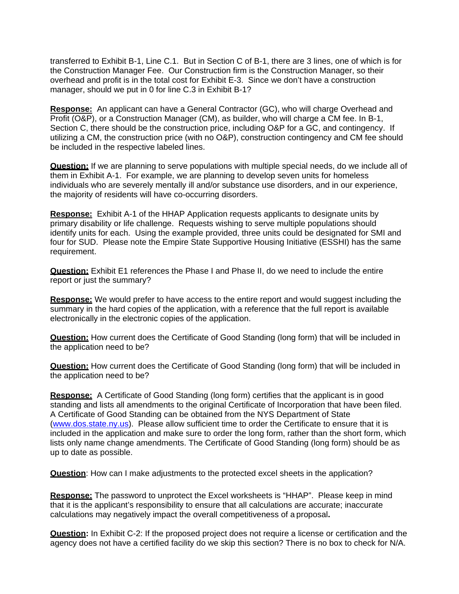transferred to Exhibit B-1, Line C.1. But in Section C of B-1, there are 3 lines, one of which is for the Construction Manager Fee. Our Construction firm is the Construction Manager, so their overhead and profit is in the total cost for Exhibit E-3. Since we don't have a construction manager, should we put in 0 for line C.3 in Exhibit B-1?

**Response:** An applicant can have a General Contractor (GC), who will charge Overhead and Profit (O&P), or a Construction Manager (CM), as builder, who will charge a CM fee. In B-1, Section C, there should be the construction price, including O&P for a GC, and contingency. If utilizing a CM, the construction price (with no O&P), construction contingency and CM fee should be included in the respective labeled lines.

**Question:** If we are planning to serve populations with multiple special needs, do we include all of them in Exhibit A-1. For example, we are planning to develop seven units for homeless individuals who are severely mentally ill and/or substance use disorders, and in our experience, the majority of residents will have co-occurring disorders.

**Response:** Exhibit A-1 of the HHAP Application requests applicants to designate units by primary disability or life challenge. Requests wishing to serve multiple populations should identify units for each. Using the example provided, three units could be designated for SMI and four for SUD. Please note the Empire State Supportive Housing Initiative (ESSHI) has the same requirement.

**Question:** Exhibit E1 references the Phase I and Phase II, do we need to include the entire report or just the summary?

**Response:** We would prefer to have access to the entire report and would suggest including the summary in the hard copies of the application, with a reference that the full report is available electronically in the electronic copies of the application.

**Question:** How current does the Certificate of Good Standing (long form) that will be included in the application need to be?

**Question:** How current does the Certificate of Good Standing (long form) that will be included in the application need to be?

**Response:**A Certificate of Good Standing (long form) certifies that the applicant is in good standing and lists all amendments to the original Certificate of Incorporation that have been filed. A Certificate of Good Standing can be obtained from the NYS Department of State [\(www.dos.state.ny.us\)](http://www.dos.state.ny.us/). Please allow sufficient time to order the Certificate to ensure that it is included in the application and make sure to order the long form, rather than the short form, which lists only name change amendments. The Certificate of Good Standing (long form) should be as up to date as possible.

**Question**: How can I make adjustments to the protected excel sheets in the application?

**Response:** The password to unprotect the Excel worksheets is "HHAP". Please keep in mind that it is the applicant's responsibility to ensure that all calculations are accurate; inaccurate calculations may negatively impact the overall competitiveness of a proposal**.**

**Question:** In Exhibit C-2: If the proposed project does not require a license or certification and the agency does not have a certified facility do we skip this section? There is no box to check for N/A.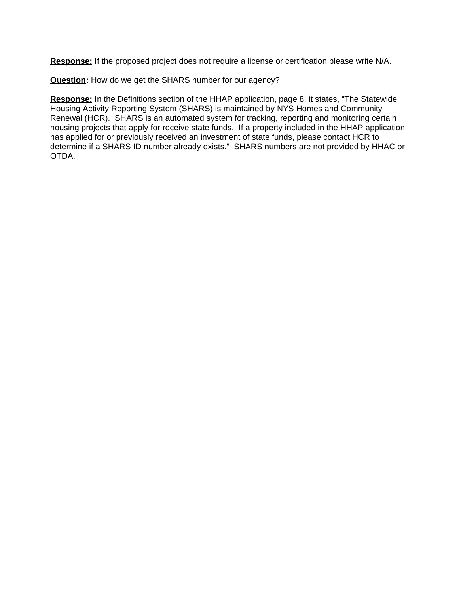**Response:** If the proposed project does not require a license or certification please write N/A.

**Question:** How do we get the SHARS number for our agency?

**Response:** In the Definitions section of the HHAP application, page 8, it states, "The Statewide Housing Activity Reporting System (SHARS) is maintained by NYS Homes and Community Renewal (HCR). SHARS is an automated system for tracking, reporting and monitoring certain housing projects that apply for receive state funds. If a property included in the HHAP application has applied for or previously received an investment of state funds, please contact HCR to determine if a SHARS ID number already exists." SHARS numbers are not provided by HHAC or OTDA.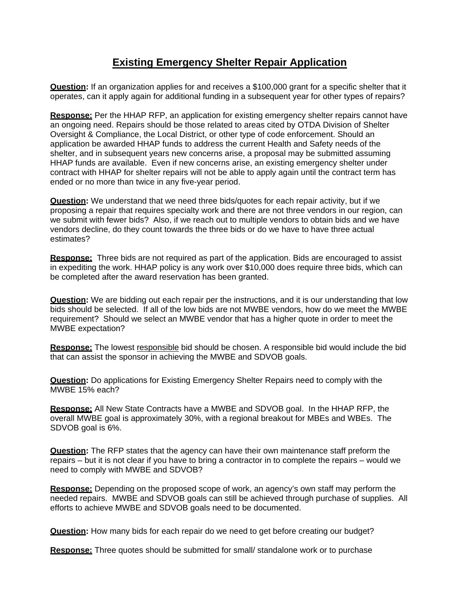# **Existing Emergency Shelter Repair Application**

**Question:** If an organization applies for and receives a \$100,000 grant for a specific shelter that it operates, can it apply again for additional funding in a subsequent year for other types of repairs?

**Response:** Per the HHAP RFP, an application for existing emergency shelter repairs cannot have an ongoing need. Repairs should be those related to areas cited by OTDA Division of Shelter Oversight & Compliance, the Local District, or other type of code enforcement. Should an application be awarded HHAP funds to address the current Health and Safety needs of the shelter, and in subsequent years new concerns arise, a proposal may be submitted assuming HHAP funds are available. Even if new concerns arise, an existing emergency shelter under contract with HHAP for shelter repairs will not be able to apply again until the contract term has ended or no more than twice in any five-year period.

**Question:** We understand that we need three bids/quotes for each repair activity, but if we proposing a repair that requires specialty work and there are not three vendors in our region, can we submit with fewer bids? Also, if we reach out to multiple vendors to obtain bids and we have vendors decline, do they count towards the three bids or do we have to have three actual estimates?

**Response:** Three bids are not required as part of the application. Bids are encouraged to assist in expediting the work. HHAP policy is any work over \$10,000 does require three bids, which can be completed after the award reservation has been granted.

**Question:** We are bidding out each repair per the instructions, and it is our understanding that low bids should be selected. If all of the low bids are not MWBE vendors, how do we meet the MWBE requirement? Should we select an MWBE vendor that has a higher quote in order to meet the MWBE expectation?

**Response:** The lowest responsible bid should be chosen. A responsible bid would include the bid that can assist the sponsor in achieving the MWBE and SDVOB goals.

**Question:** Do applications for Existing Emergency Shelter Repairs need to comply with the MWBE 15% each?

**Response:** All New State Contracts have a MWBE and SDVOB goal. In the HHAP RFP, the overall MWBE goal is approximately 30%, with a regional breakout for MBEs and WBEs. The SDVOB goal is 6%.

**Question:** The RFP states that the agency can have their own maintenance staff preform the repairs – but it is not clear if you have to bring a contractor in to complete the repairs – would we need to comply with MWBE and SDVOB?

**Response:** Depending on the proposed scope of work, an agency's own staff may perform the needed repairs. MWBE and SDVOB goals can still be achieved through purchase of supplies. All efforts to achieve MWBE and SDVOB goals need to be documented.

**Question:** How many bids for each repair do we need to get before creating our budget?

**Response:** Three quotes should be submitted for small/ standalone work or to purchase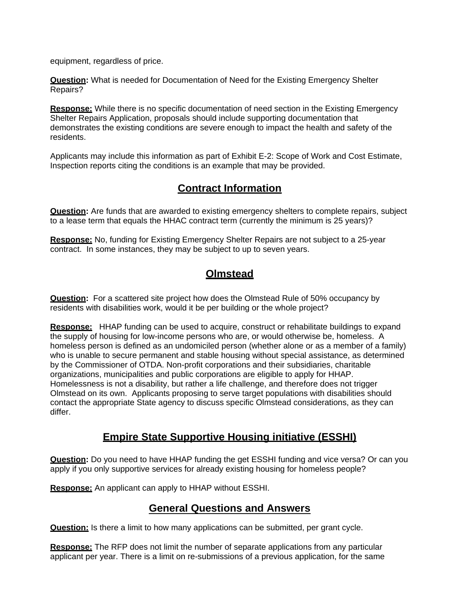equipment, regardless of price.

**Question:** What is needed for Documentation of Need for the Existing Emergency Shelter Repairs?

**Response:** While there is no specific documentation of need section in the Existing Emergency Shelter Repairs Application, proposals should include supporting documentation that demonstrates the existing conditions are severe enough to impact the health and safety of the residents.

Applicants may include this information as part of Exhibit E-2: Scope of Work and Cost Estimate, Inspection reports citing the conditions is an example that may be provided.

### **Contract Information**

**Question:** Are funds that are awarded to existing emergency shelters to complete repairs, subject to a lease term that equals the HHAC contract term (currently the minimum is 25 years)?

**Response:** No, funding for Existing Emergency Shelter Repairs are not subject to a 25-year contract. In some instances, they may be subject to up to seven years.

### **Olmstead**

**Question:** For a scattered site project how does the Olmstead Rule of 50% occupancy by residents with disabilities work, would it be per building or the whole project?

**Response:**HHAP funding can be used to acquire, construct or rehabilitate buildings to expand the supply of housing for low-income persons who are, or would otherwise be, homeless. A homeless person is defined as an undomiciled person (whether alone or as a member of a family) who is unable to secure permanent and stable housing without special assistance, as determined by the Commissioner of OTDA. Non-profit corporations and their subsidiaries, charitable organizations, municipalities and public corporations are eligible to apply for HHAP. Homelessness is not a disability, but rather a life challenge, and therefore does not trigger Olmstead on its own. Applicants proposing to serve target populations with disabilities should contact the appropriate State agency to discuss specific Olmstead considerations, as they can differ.

### **Empire State Supportive Housing initiative (ESSHI)**

**Question:** Do you need to have HHAP funding the get ESSHI funding and vice versa? Or can you apply if you only supportive services for already existing housing for homeless people?

**Response:** An applicant can apply to HHAP without ESSHI.

### **General Questions and Answers**

**Question:** Is there a limit to how many applications can be submitted, per grant cycle.

**Response:** The RFP does not limit the number of separate applications from any particular applicant per year. There is a limit on re-submissions of a previous application, for the same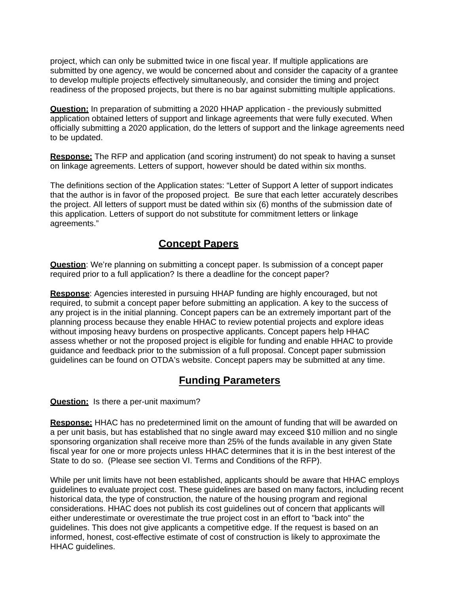project, which can only be submitted twice in one fiscal year. If multiple applications are submitted by one agency, we would be concerned about and consider the capacity of a grantee to develop multiple projects effectively simultaneously, and consider the timing and project readiness of the proposed projects, but there is no bar against submitting multiple applications.

**Question:** In preparation of submitting a 2020 HHAP application - the previously submitted application obtained letters of support and linkage agreements that were fully executed. When officially submitting a 2020 application, do the letters of support and the linkage agreements need to be updated.

**Response:** The RFP and application (and scoring instrument) do not speak to having a sunset on linkage agreements. Letters of support, however should be dated within six months.

The definitions section of the Application states: "Letter of Support A letter of support indicates that the author is in favor of the proposed project. Be sure that each letter accurately describes the project. All letters of support must be dated within six (6) months of the submission date of this application. Letters of support do not substitute for commitment letters or linkage agreements."

### **Concept Papers**

**Question**: We're planning on submitting a concept paper. Is submission of a concept paper required prior to a full application? Is there a deadline for the concept paper?

**Response**: Agencies interested in pursuing HHAP funding are highly encouraged, but not required, to submit a concept paper before submitting an application. A key to the success of any project is in the initial planning. Concept papers can be an extremely important part of the planning process because they enable HHAC to review potential projects and explore ideas without imposing heavy burdens on prospective applicants. Concept papers help HHAC assess whether or not the proposed project is eligible for funding and enable HHAC to provide guidance and feedback prior to the submission of a full proposal. Concept paper submission guidelines can be found on OTDA's website. Concept papers may be submitted at any time.

### **Funding Parameters**

**Question:** Is there a per-unit maximum?

**Response:** HHAC has no predetermined limit on the amount of funding that will be awarded on a per unit basis, but has established that no single award may exceed \$10 million and no single sponsoring organization shall receive more than 25% of the funds available in any given State fiscal year for one or more projects unless HHAC determines that it is in the best interest of the State to do so. (Please see section VI. Terms and Conditions of the RFP).

While per unit limits have not been established, applicants should be aware that HHAC employs guidelines to evaluate project cost. These guidelines are based on many factors, including recent historical data, the type of construction, the nature of the housing program and regional considerations. HHAC does not publish its cost guidelines out of concern that applicants will either underestimate or overestimate the true project cost in an effort to "back into" the guidelines. This does not give applicants a competitive edge. If the request is based on an informed, honest, cost-effective estimate of cost of construction is likely to approximate the HHAC guidelines.